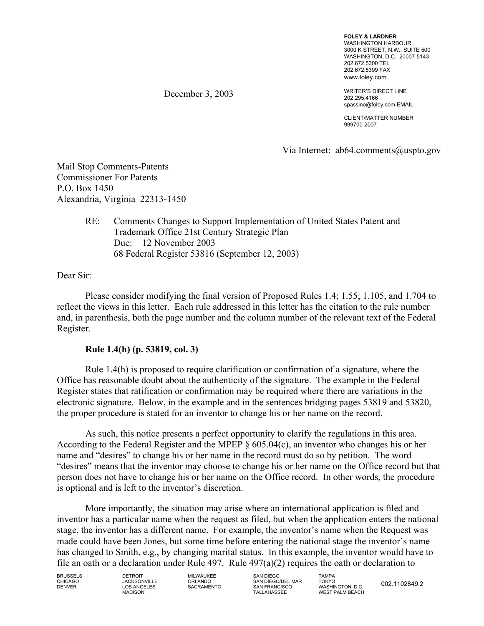**FOLEY & LARDNER**  WASHINGTON HARBOUR 3000 K STREET, N.W., SUITE 500 WASHINGTON, D.C. 20007-5143 202.672.5300 TEL 202.672.5399 FAX www.foley.com

WRITER'S DIRECT LINE 202.295.4166 spassino@foley.com EMAIL

CLIENT/MATTER NUMBER 999700-2007

Via Internet: ab64.comments@uspto.gov

Mail Stop Comments-Patents Commissioner For Patents P.O. Box 1450 Alexandria, Virginia 22313-1450

# RE: Comments Changes to Support Implementation of United States Patent and Trademark Office 21st Century Strategic Plan Due: 12 November 2003 68 Federal Register 53816 (September 12, 2003)

December 3, 2003

Dear Sir:

Please consider modifying the final version of Proposed Rules 1.4; 1.55; 1.105, and 1.704 to reflect the views in this letter. Each rule addressed in this letter has the citation to the rule number and, in parenthesis, both the page number and the column number of the relevant text of the Federal Register.

## **Rule 1.4(h) (p. 53819, col. 3)**

Rule 1.4(h) is proposed to require clarification or confirmation of a signature, where the Office has reasonable doubt about the authenticity of the signature. The example in the Federal Register states that ratification or confirmation may be required where there are variations in the electronic signature. Below, in the example and in the sentences bridging pages 53819 and 53820, the proper procedure is stated for an inventor to change his or her name on the record.

As such, this notice presents a perfect opportunity to clarify the regulations in this area. According to the Federal Register and the MPEP § 605.04(c), an inventor who changes his or her name and "desires" to change his or her name in the record must do so by petition. The word "desires" means that the inventor may choose to change his or her name on the Office record but that person does not have to change his or her name on the Office record. In other words, the procedure is optional and is left to the inventor's discretion.

More importantly, the situation may arise where an international application is filed and inventor has a particular name when the request as filed, but when the application enters the national stage, the inventor has a different name. For example, the inventor's name when the Request was made could have been Jones, but some time before entering the national stage the inventor's name has changed to Smith, e.g., by changing marital status. In this example, the inventor would have to file an oath or a declaration under Rule 497. Rule 497(a)(2) requires the oath or declaration to

BRUSSELS DETROIT MILWAUKEE SAN DIEGO TAMPA CHICAGO JACKSONVILLE ORLANDO SAN DIEGO/DEL MAR TOKYO DENVER LOS ANGELES SACRAMENTO SAN FRANCISCO WASHINGTON, D.C.

DENVER LOS ANGELES SACRAMENTO SAN FRANCISCO WASHINGTON, D.C. 002.1102849.2 MADISON TALLAHASSEE WEST PALM BEACH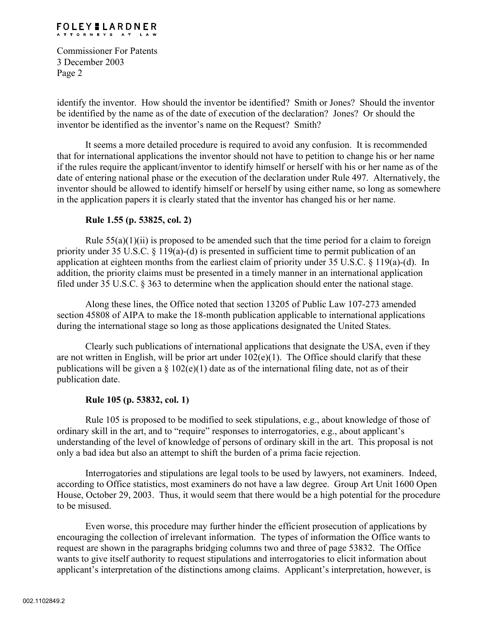#### **FOLEY LARDNER** ATTORNEYS AT LAW

Commissioner For Patents 3 December 2003 Page 2

identify the inventor. How should the inventor be identified? Smith or Jones? Should the inventor be identified by the name as of the date of execution of the declaration? Jones? Or should the inventor be identified as the inventor's name on the Request? Smith?

It seems a more detailed procedure is required to avoid any confusion. It is recommended that for international applications the inventor should not have to petition to change his or her name if the rules require the applicant/inventor to identify himself or herself with his or her name as of the date of entering national phase or the execution of the declaration under Rule 497. Alternatively, the inventor should be allowed to identify himself or herself by using either name, so long as somewhere in the application papers it is clearly stated that the inventor has changed his or her name.

# **Rule 1.55 (p. 53825, col. 2)**

Rule  $55(a)(1)(ii)$  is proposed to be amended such that the time period for a claim to foreign priority under 35 U.S.C. § 119(a)-(d) is presented in sufficient time to permit publication of an application at eighteen months from the earliest claim of priority under 35 U.S.C. § 119(a)-(d). In addition, the priority claims must be presented in a timely manner in an international application filed under 35 U.S.C. § 363 to determine when the application should enter the national stage.

Along these lines, the Office noted that section 13205 of Public Law 107-273 amended section 45808 of AIPA to make the 18-month publication applicable to international applications during the international stage so long as those applications designated the United States.

Clearly such publications of international applications that designate the USA, even if they are not written in English, will be prior art under  $102(e)(1)$ . The Office should clarify that these publications will be given a  $\S 102(e)(1)$  date as of the international filing date, not as of their publication date.

## **Rule 105 (p. 53832, col. 1)**

Rule 105 is proposed to be modified to seek stipulations, e.g., about knowledge of those of ordinary skill in the art, and to "require" responses to interrogatories, e.g., about applicant's understanding of the level of knowledge of persons of ordinary skill in the art. This proposal is not only a bad idea but also an attempt to shift the burden of a prima facie rejection.

Interrogatories and stipulations are legal tools to be used by lawyers, not examiners. Indeed, according to Office statistics, most examiners do not have a law degree. Group Art Unit 1600 Open House, October 29, 2003. Thus, it would seem that there would be a high potential for the procedure to be misused.

Even worse, this procedure may further hinder the efficient prosecution of applications by encouraging the collection of irrelevant information. The types of information the Office wants to request are shown in the paragraphs bridging columns two and three of page 53832. The Office wants to give itself authority to request stipulations and interrogatories to elicit information about applicant's interpretation of the distinctions among claims. Applicant's interpretation, however, is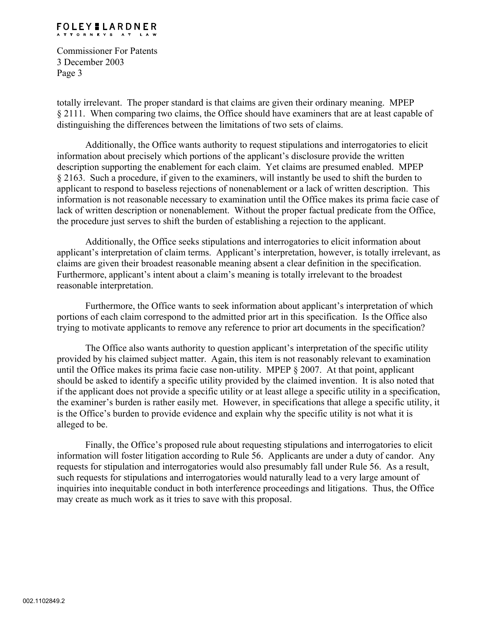#### **FOLEY LARDNER** ATTORNEYS AT LAW

Commissioner For Patents 3 December 2003 Page 3

totally irrelevant. The proper standard is that claims are given their ordinary meaning. MPEP § 2111. When comparing two claims, the Office should have examiners that are at least capable of distinguishing the differences between the limitations of two sets of claims.

Additionally, the Office wants authority to request stipulations and interrogatories to elicit information about precisely which portions of the applicant's disclosure provide the written description supporting the enablement for each claim. Yet claims are presumed enabled. MPEP § 2163. Such a procedure, if given to the examiners, will instantly be used to shift the burden to applicant to respond to baseless rejections of nonenablement or a lack of written description. This information is not reasonable necessary to examination until the Office makes its prima facie case of lack of written description or nonenablement. Without the proper factual predicate from the Office, the procedure just serves to shift the burden of establishing a rejection to the applicant.

Additionally, the Office seeks stipulations and interrogatories to elicit information about applicant's interpretation of claim terms. Applicant's interpretation, however, is totally irrelevant, as claims are given their broadest reasonable meaning absent a clear definition in the specification. Furthermore, applicant's intent about a claim's meaning is totally irrelevant to the broadest reasonable interpretation.

Furthermore, the Office wants to seek information about applicant's interpretation of which portions of each claim correspond to the admitted prior art in this specification. Is the Office also trying to motivate applicants to remove any reference to prior art documents in the specification?

The Office also wants authority to question applicant's interpretation of the specific utility provided by his claimed subject matter. Again, this item is not reasonably relevant to examination until the Office makes its prima facie case non-utility. MPEP § 2007. At that point, applicant should be asked to identify a specific utility provided by the claimed invention. It is also noted that if the applicant does not provide a specific utility or at least allege a specific utility in a specification, the examiner's burden is rather easily met. However, in specifications that allege a specific utility, it is the Office's burden to provide evidence and explain why the specific utility is not what it is alleged to be.

Finally, the Office's proposed rule about requesting stipulations and interrogatories to elicit information will foster litigation according to Rule 56. Applicants are under a duty of candor. Any requests for stipulation and interrogatories would also presumably fall under Rule 56. As a result, such requests for stipulations and interrogatories would naturally lead to a very large amount of inquiries into inequitable conduct in both interference proceedings and litigations. Thus, the Office may create as much work as it tries to save with this proposal.